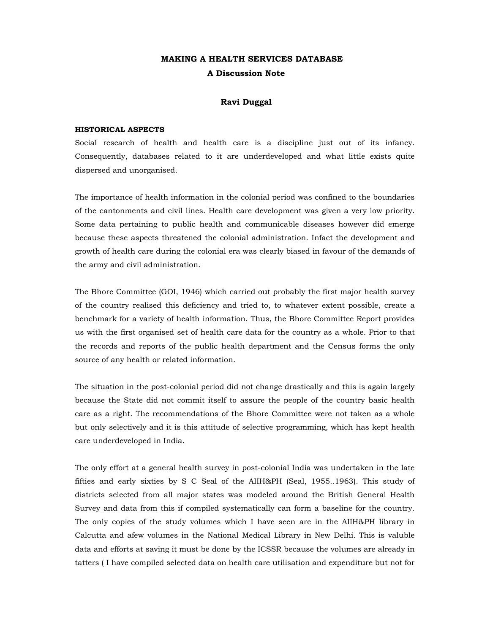# **MAKING A HEALTH SERVICES DATABASE A Discussion Note**

## **Ravi Duggal**

## **HISTORICAL ASPECTS**

Social research of health and health care is a discipline just out of its infancy. Consequently, databases related to it are underdeveloped and what little exists quite dispersed and unorganised.

The importance of health information in the colonial period was confined to the boundaries of the cantonments and civil lines. Health care development was given a very low priority. Some data pertaining to public health and communicable diseases however did emerge because these aspects threatened the colonial administration. Infact the development and growth of health care during the colonial era was clearly biased in favour of the demands of the army and civil administration.

The Bhore Committee (GOI, 1946) which carried out probably the first major health survey of the country realised this deficiency and tried to, to whatever extent possible, create a benchmark for a variety of health information. Thus, the Bhore Committee Report provides us with the first organised set of health care data for the country as a whole. Prior to that the records and reports of the public health department and the Census forms the only source of any health or related information.

The situation in the post-colonial period did not change drastically and this is again largely because the State did not commit itself to assure the people of the country basic health care as a right. The recommendations of the Bhore Committee were not taken as a whole but only selectively and it is this attitude of selective programming, which has kept health care underdeveloped in India.

The only effort at a general health survey in post-colonial India was undertaken in the late fifties and early sixties by S C Seal of the AIIH&PH (Seal, 1955..1963). This study of districts selected from all major states was modeled around the British General Health Survey and data from this if compiled systematically can form a baseline for the country. The only copies of the study volumes which I have seen are in the AIIH&PH library in Calcutta and afew volumes in the National Medical Library in New Delhi. This is valuble data and efforts at saving it must be done by the ICSSR because the volumes are already in tatters ( I have compiled selected data on health care utilisation and expenditure but not for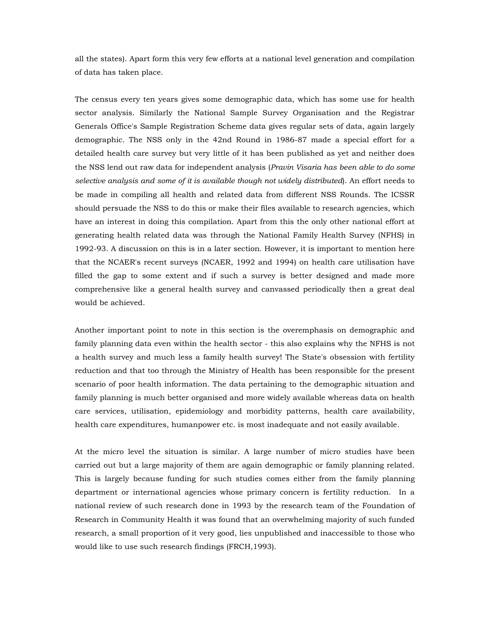all the states). Apart form this very few efforts at a national level generation and compilation of data has taken place.

The census every ten years gives some demographic data, which has some use for health sector analysis. Similarly the National Sample Survey Organisation and the Registrar Generals Office's Sample Registration Scheme data gives regular sets of data, again largely demographic. The NSS only in the 42nd Round in 1986-87 made a special effort for a detailed health care survey but very little of it has been published as yet and neither does the NSS lend out raw data for independent analysis (*Pravin Visaria has been able to do some selective analysis and some of it is available though not widely distributed*). An effort needs to be made in compiling all health and related data from different NSS Rounds. The ICSSR should persuade the NSS to do this or make their files available to research agencies, which have an interest in doing this compilation. Apart from this the only other national effort at generating health related data was through the National Family Health Survey (NFHS) in 1992-93. A discussion on this is in a later section. However, it is important to mention here that the NCAER's recent surveys (NCAER, 1992 and 1994) on health care utilisation have filled the gap to some extent and if such a survey is better designed and made more comprehensive like a general health survey and canvassed periodically then a great deal would be achieved.

Another important point to note in this section is the overemphasis on demographic and family planning data even within the health sector - this also explains why the NFHS is not a health survey and much less a family health survey! The State's obsession with fertility reduction and that too through the Ministry of Health has been responsible for the present scenario of poor health information. The data pertaining to the demographic situation and family planning is much better organised and more widely available whereas data on health care services, utilisation, epidemiology and morbidity patterns, health care availability, health care expenditures, humanpower etc. is most inadequate and not easily available.

At the micro level the situation is similar. A large number of micro studies have been carried out but a large majority of them are again demographic or family planning related. This is largely because funding for such studies comes either from the family planning department or international agencies whose primary concern is fertility reduction. In a national review of such research done in 1993 by the research team of the Foundation of Research in Community Health it was found that an overwhelming majority of such funded research, a small proportion of it very good, lies unpublished and inaccessible to those who would like to use such research findings (FRCH,1993).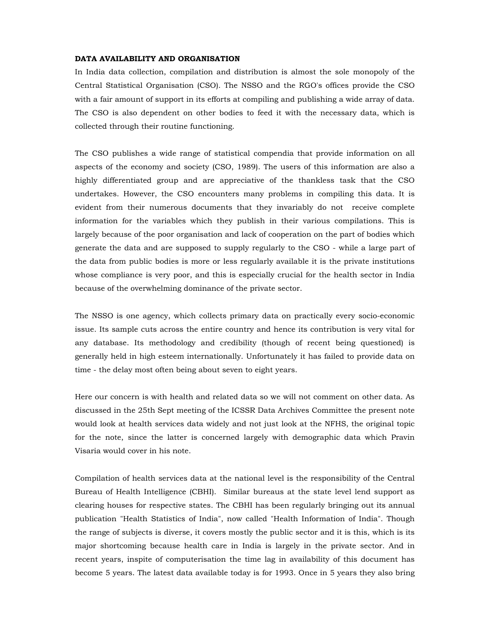## **DATA AVAILABILITY AND ORGANISATION**

In India data collection, compilation and distribution is almost the sole monopoly of the Central Statistical Organisation (CSO). The NSSO and the RGO's offices provide the CSO with a fair amount of support in its efforts at compiling and publishing a wide array of data. The CSO is also dependent on other bodies to feed it with the necessary data, which is collected through their routine functioning.

The CSO publishes a wide range of statistical compendia that provide information on all aspects of the economy and society (CSO, 1989). The users of this information are also a highly differentiated group and are appreciative of the thankless task that the CSO undertakes. However, the CSO encounters many problems in compiling this data. It is evident from their numerous documents that they invariably do not receive complete information for the variables which they publish in their various compilations. This is largely because of the poor organisation and lack of cooperation on the part of bodies which generate the data and are supposed to supply regularly to the CSO - while a large part of the data from public bodies is more or less regularly available it is the private institutions whose compliance is very poor, and this is especially crucial for the health sector in India because of the overwhelming dominance of the private sector.

The NSSO is one agency, which collects primary data on practically every socio-economic issue. Its sample cuts across the entire country and hence its contribution is very vital for any database. Its methodology and credibility (though of recent being questioned) is generally held in high esteem internationally. Unfortunately it has failed to provide data on time - the delay most often being about seven to eight years.

Here our concern is with health and related data so we will not comment on other data. As discussed in the 25th Sept meeting of the ICSSR Data Archives Committee the present note would look at health services data widely and not just look at the NFHS, the original topic for the note, since the latter is concerned largely with demographic data which Pravin Visaria would cover in his note.

Compilation of health services data at the national level is the responsibility of the Central Bureau of Health Intelligence (CBHI). Similar bureaus at the state level lend support as clearing houses for respective states. The CBHI has been regularly bringing out its annual publication "Health Statistics of India", now called "Health Information of India". Though the range of subjects is diverse, it covers mostly the public sector and it is this, which is its major shortcoming because health care in India is largely in the private sector. And in recent years, inspite of computerisation the time lag in availability of this document has become 5 years. The latest data available today is for 1993. Once in 5 years they also bring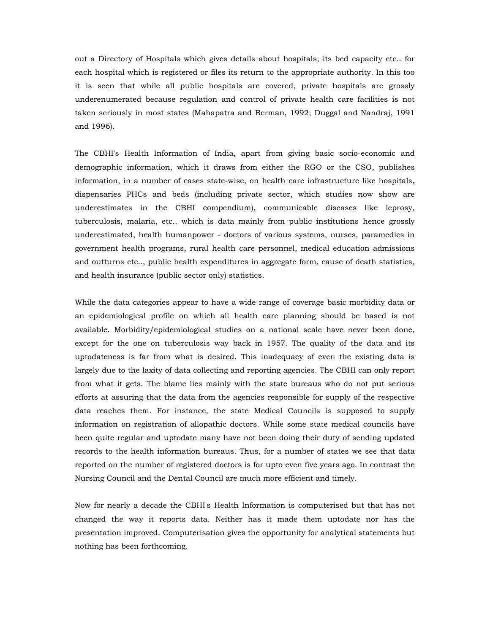out a Directory of Hospitals which gives details about hospitals, its bed capacity etc.. for each hospital which is registered or files its return to the appropriate authority. In this too it is seen that while all public hospitals are covered, private hospitals are grossly underenumerated because regulation and control of private health care facilities is not taken seriously in most states (Mahapatra and Berman, 1992; Duggal and Nandraj, 1991 and 1996).

The CBHI's Health Information of India, apart from giving basic socio-economic and demographic information, which it draws from either the RGO or the CSO, publishes information, in a number of cases state-wise, on health care infrastructure like hospitals, dispensaries PHCs and beds (including private sector, which studies now show are underestimates in the CBHI compendium), communicable diseases like leprosy, tuberculosis, malaria, etc.. which is data mainly from public institutions hence grossly underestimated, health humanpower - doctors of various systems, nurses, paramedics in government health programs, rural health care personnel, medical education admissions and outturns etc.., public health expenditures in aggregate form, cause of death statistics, and health insurance (public sector only) statistics.

While the data categories appear to have a wide range of coverage basic morbidity data or an epidemiological profile on which all health care planning should be based is not available. Morbidity/epidemiological studies on a national scale have never been done, except for the one on tuberculosis way back in 1957. The quality of the data and its uptodateness is far from what is desired. This inadequacy of even the existing data is largely due to the laxity of data collecting and reporting agencies. The CBHI can only report from what it gets. The blame lies mainly with the state bureaus who do not put serious efforts at assuring that the data from the agencies responsible for supply of the respective data reaches them. For instance, the state Medical Councils is supposed to supply information on registration of allopathic doctors. While some state medical councils have been quite regular and uptodate many have not been doing their duty of sending updated records to the health information bureaus. Thus, for a number of states we see that data reported on the number of registered doctors is for upto even five years ago. In contrast the Nursing Council and the Dental Council are much more efficient and timely.

Now for nearly a decade the CBHI's Health Information is computerised but that has not changed the way it reports data. Neither has it made them uptodate nor has the presentation improved. Computerisation gives the opportunity for analytical statements but nothing has been forthcoming.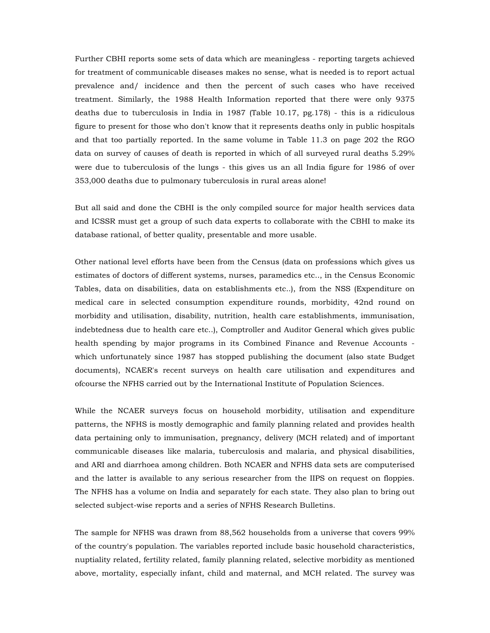Further CBHI reports some sets of data which are meaningless - reporting targets achieved for treatment of communicable diseases makes no sense, what is needed is to report actual prevalence and/ incidence and then the percent of such cases who have received treatment. Similarly, the 1988 Health Information reported that there were only 9375 deaths due to tuberculosis in India in 1987 (Table 10.17, pg.178) - this is a ridiculous figure to present for those who don't know that it represents deaths only in public hospitals and that too partially reported. In the same volume in Table 11.3 on page 202 the RGO data on survey of causes of death is reported in which of all surveyed rural deaths 5.29% were due to tuberculosis of the lungs - this gives us an all India figure for 1986 of over 353,000 deaths due to pulmonary tuberculosis in rural areas alone!

But all said and done the CBHI is the only compiled source for major health services data and ICSSR must get a group of such data experts to collaborate with the CBHI to make its database rational, of better quality, presentable and more usable.

Other national level efforts have been from the Census (data on professions which gives us estimates of doctors of different systems, nurses, paramedics etc.., in the Census Economic Tables, data on disabilities, data on establishments etc..), from the NSS (Expenditure on medical care in selected consumption expenditure rounds, morbidity, 42nd round on morbidity and utilisation, disability, nutrition, health care establishments, immunisation, indebtedness due to health care etc..), Comptroller and Auditor General which gives public health spending by major programs in its Combined Finance and Revenue Accounts which unfortunately since 1987 has stopped publishing the document (also state Budget documents), NCAER's recent surveys on health care utilisation and expenditures and ofcourse the NFHS carried out by the International Institute of Population Sciences.

While the NCAER surveys focus on household morbidity, utilisation and expenditure patterns, the NFHS is mostly demographic and family planning related and provides health data pertaining only to immunisation, pregnancy, delivery (MCH related) and of important communicable diseases like malaria, tuberculosis and malaria, and physical disabilities, and ARI and diarrhoea among children. Both NCAER and NFHS data sets are computerised and the latter is available to any serious researcher from the IIPS on request on floppies. The NFHS has a volume on India and separately for each state. They also plan to bring out selected subject-wise reports and a series of NFHS Research Bulletins.

The sample for NFHS was drawn from 88,562 households from a universe that covers 99% of the country's population. The variables reported include basic household characteristics, nuptiality related, fertility related, family planning related, selective morbidity as mentioned above, mortality, especially infant, child and maternal, and MCH related. The survey was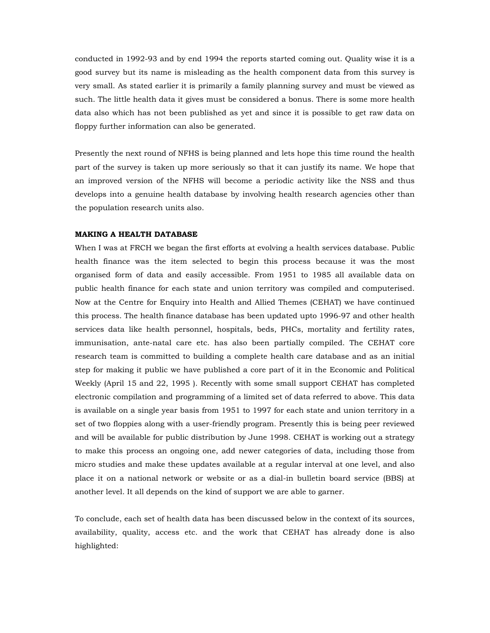conducted in 1992-93 and by end 1994 the reports started coming out. Quality wise it is a good survey but its name is misleading as the health component data from this survey is very small. As stated earlier it is primarily a family planning survey and must be viewed as such. The little health data it gives must be considered a bonus. There is some more health data also which has not been published as yet and since it is possible to get raw data on floppy further information can also be generated.

Presently the next round of NFHS is being planned and lets hope this time round the health part of the survey is taken up more seriously so that it can justify its name. We hope that an improved version of the NFHS will become a periodic activity like the NSS and thus develops into a genuine health database by involving health research agencies other than the population research units also.

#### **MAKING A HEALTH DATABASE**

When I was at FRCH we began the first efforts at evolving a health services database. Public health finance was the item selected to begin this process because it was the most organised form of data and easily accessible. From 1951 to 1985 all available data on public health finance for each state and union territory was compiled and computerised. Now at the Centre for Enquiry into Health and Allied Themes (CEHAT) we have continued this process. The health finance database has been updated upto 1996-97 and other health services data like health personnel, hospitals, beds, PHCs, mortality and fertility rates, immunisation, ante-natal care etc. has also been partially compiled. The CEHAT core research team is committed to building a complete health care database and as an initial step for making it public we have published a core part of it in the Economic and Political Weekly (April 15 and 22, 1995 ). Recently with some small support CEHAT has completed electronic compilation and programming of a limited set of data referred to above. This data is available on a single year basis from 1951 to 1997 for each state and union territory in a set of two floppies along with a user-friendly program. Presently this is being peer reviewed and will be available for public distribution by June 1998. CEHAT is working out a strategy to make this process an ongoing one, add newer categories of data, including those from micro studies and make these updates available at a regular interval at one level, and also place it on a national network or website or as a dial-in bulletin board service (BBS) at another level. It all depends on the kind of support we are able to garner.

To conclude, each set of health data has been discussed below in the context of its sources, availability, quality, access etc. and the work that CEHAT has already done is also highlighted: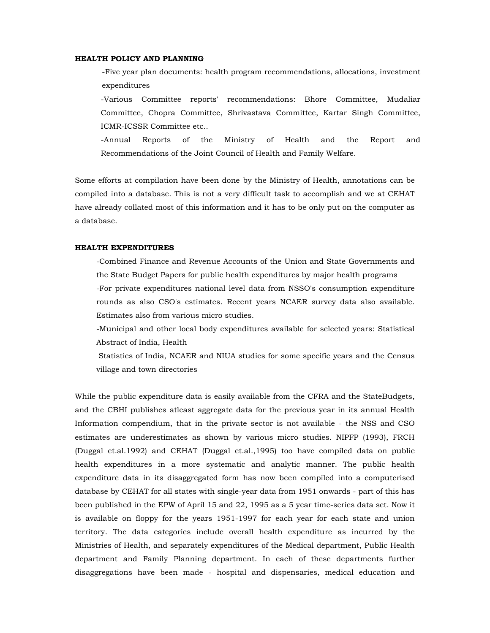## **HEALTH POLICY AND PLANNING**

-Five year plan documents: health program recommendations, allocations, investment expenditures

-Various Committee reports' recommendations: Bhore Committee, Mudaliar Committee, Chopra Committee, Shrivastava Committee, Kartar Singh Committee, ICMR-ICSSR Committee etc..

-Annual Reports of the Ministry of Health and the Report and Recommendations of the Joint Council of Health and Family Welfare.

Some efforts at compilation have been done by the Ministry of Health, annotations can be compiled into a database. This is not a very difficult task to accomplish and we at CEHAT have already collated most of this information and it has to be only put on the computer as a database.

## **HEALTH EXPENDITURES**

-Combined Finance and Revenue Accounts of the Union and State Governments and the State Budget Papers for public health expenditures by major health programs -For private expenditures national level data from NSSO's consumption expenditure rounds as also CSO's estimates. Recent years NCAER survey data also available.

Estimates also from various micro studies.

-Municipal and other local body expenditures available for selected years: Statistical Abstract of India, Health

Statistics of India, NCAER and NIUA studies for some specific years and the Census village and town directories

While the public expenditure data is easily available from the CFRA and the StateBudgets, and the CBHI publishes atleast aggregate data for the previous year in its annual Health Information compendium, that in the private sector is not available - the NSS and CSO estimates are underestimates as shown by various micro studies. NIPFP (1993), FRCH (Duggal et.al.1992) and CEHAT (Duggal et.al.,1995) too have compiled data on public health expenditures in a more systematic and analytic manner. The public health expenditure data in its disaggregated form has now been compiled into a computerised database by CEHAT for all states with single-year data from 1951 onwards - part of this has been published in the EPW of April 15 and 22, 1995 as a 5 year time-series data set. Now it is available on floppy for the years 1951-1997 for each year for each state and union territory. The data categories include overall health expenditure as incurred by the Ministries of Health, and separately expenditures of the Medical department, Public Health department and Family Planning department. In each of these departments further disaggregations have been made - hospital and dispensaries, medical education and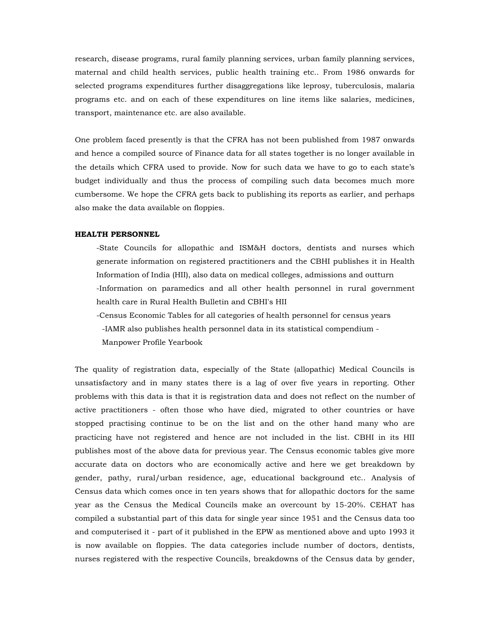research, disease programs, rural family planning services, urban family planning services, maternal and child health services, public health training etc.. From 1986 onwards for selected programs expenditures further disaggregations like leprosy, tuberculosis, malaria programs etc. and on each of these expenditures on line items like salaries, medicines, transport, maintenance etc. are also available.

One problem faced presently is that the CFRA has not been published from 1987 onwards and hence a compiled source of Finance data for all states together is no longer available in the details which CFRA used to provide. Now for such data we have to go to each state's budget individually and thus the process of compiling such data becomes much more cumbersome. We hope the CFRA gets back to publishing its reports as earlier, and perhaps also make the data available on floppies.

## **HEALTH PERSONNEL**

-State Councils for allopathic and ISM&H doctors, dentists and nurses which generate information on registered practitioners and the CBHI publishes it in Health Information of India (HII), also data on medical colleges, admissions and outturn -Information on paramedics and all other health personnel in rural government health care in Rural Health Bulletin and CBHI's HII

 -Census Economic Tables for all categories of health personnel for census years -IAMR also publishes health personnel data in its statistical compendium - Manpower Profile Yearbook

The quality of registration data, especially of the State (allopathic) Medical Councils is unsatisfactory and in many states there is a lag of over five years in reporting. Other problems with this data is that it is registration data and does not reflect on the number of active practitioners - often those who have died, migrated to other countries or have stopped practising continue to be on the list and on the other hand many who are practicing have not registered and hence are not included in the list. CBHI in its HII publishes most of the above data for previous year. The Census economic tables give more accurate data on doctors who are economically active and here we get breakdown by gender, pathy, rural/urban residence, age, educational background etc.. Analysis of Census data which comes once in ten years shows that for allopathic doctors for the same year as the Census the Medical Councils make an overcount by 15-20%. CEHAT has compiled a substantial part of this data for single year since 1951 and the Census data too and computerised it - part of it published in the EPW as mentioned above and upto 1993 it is now available on floppies. The data categories include number of doctors, dentists, nurses registered with the respective Councils, breakdowns of the Census data by gender,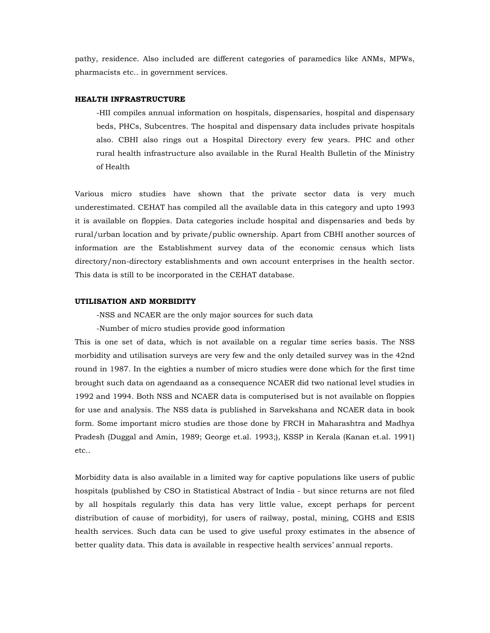pathy, residence. Also included are different categories of paramedics like ANMs, MPWs, pharmacists etc.. in government services.

#### **HEALTH INFRASTRUCTURE**

-HII compiles annual information on hospitals, dispensaries, hospital and dispensary beds, PHCs, Subcentres. The hospital and dispensary data includes private hospitals also. CBHI also rings out a Hospital Directory every few years. PHC and other rural health infrastructure also available in the Rural Health Bulletin of the Ministry of Health

Various micro studies have shown that the private sector data is very much underestimated. CEHAT has compiled all the available data in this category and upto 1993 it is available on floppies. Data categories include hospital and dispensaries and beds by rural/urban location and by private/public ownership. Apart from CBHI another sources of information are the Establishment survey data of the economic census which lists directory/non-directory establishments and own account enterprises in the health sector. This data is still to be incorporated in the CEHAT database.

#### **UTILISATION AND MORBIDITY**

-NSS and NCAER are the only major sources for such data

-Number of micro studies provide good information

This is one set of data, which is not available on a regular time series basis. The NSS morbidity and utilisation surveys are very few and the only detailed survey was in the 42nd round in 1987. In the eighties a number of micro studies were done which for the first time brought such data on agendaand as a consequence NCAER did two national level studies in 1992 and 1994. Both NSS and NCAER data is computerised but is not available on floppies for use and analysis. The NSS data is published in Sarvekshana and NCAER data in book form. Some important micro studies are those done by FRCH in Maharashtra and Madhya Pradesh (Duggal and Amin, 1989; George et.al. 1993;), KSSP in Kerala (Kanan et.al. 1991) etc..

Morbidity data is also available in a limited way for captive populations like users of public hospitals (published by CSO in Statistical Abstract of India - but since returns are not filed by all hospitals regularly this data has very little value, except perhaps for percent distribution of cause of morbidity), for users of railway, postal, mining, CGHS and ESIS health services. Such data can be used to give useful proxy estimates in the absence of better quality data. This data is available in respective health services' annual reports.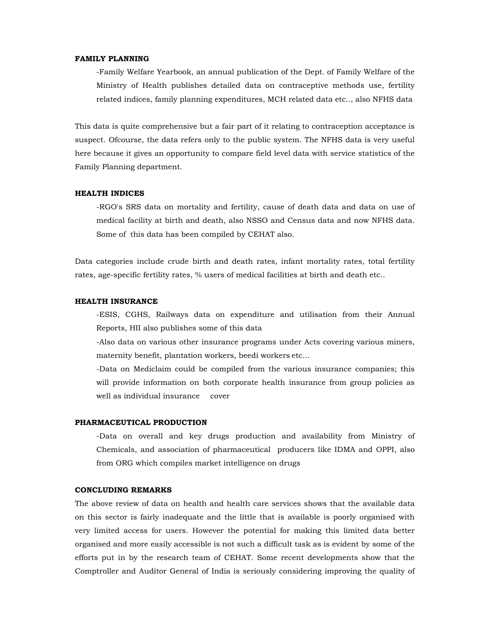## **FAMILY PLANNING**

-Family Welfare Yearbook, an annual publication of the Dept. of Family Welfare of the Ministry of Health publishes detailed data on contraceptive methods use, fertility related indices, family planning expenditures, MCH related data etc.., also NFHS data

This data is quite comprehensive but a fair part of it relating to contraception acceptance is suspect. Ofcourse, the data refers only to the public system. The NFHS data is very useful here because it gives an opportunity to compare field level data with service statistics of the Family Planning department.

# **HEALTH INDICES**

-RGO's SRS data on mortality and fertility, cause of death data and data on use of medical facility at birth and death, also NSSO and Census data and now NFHS data. Some of this data has been compiled by CEHAT also.

Data categories include crude birth and death rates, infant mortality rates, total fertility rates, age-specific fertility rates, % users of medical facilities at birth and death etc..

#### **HEALTH INSURANCE**

-ESIS, CGHS, Railways data on expenditure and utilisation from their Annual Reports, HII also publishes some of this data

-Also data on various other insurance programs under Acts covering various miners, maternity benefit, plantation workers, beedi workers etc...

-Data on Mediclaim could be compiled from the various insurance companies; this will provide information on both corporate health insurance from group policies as well as individual insurance cover

# **PHARMACEUTICAL PRODUCTION**

-Data on overall and key drugs production and availability from Ministry of Chemicals, and association of pharmaceutical producers like IDMA and OPPI, also from ORG which compiles market intelligence on drugs

## **CONCLUDING REMARKS**

The above review of data on health and health care services shows that the available data on this sector is fairly inadequate and the little that is available is poorly organised with very limited access for users. However the potential for making this limited data better organised and more easily accessible is not such a difficult task as is evident by some of the efforts put in by the research team of CEHAT. Some recent developments show that the Comptroller and Auditor General of India is seriously considering improving the quality of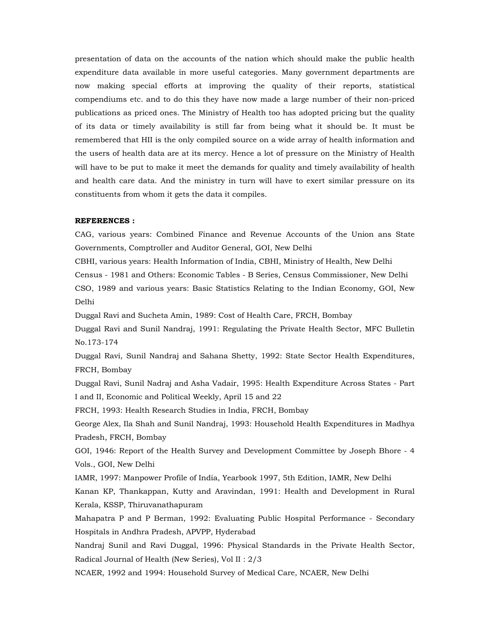presentation of data on the accounts of the nation which should make the public health expenditure data available in more useful categories. Many government departments are now making special efforts at improving the quality of their reports, statistical compendiums etc. and to do this they have now made a large number of their non-priced publications as priced ones. The Ministry of Health too has adopted pricing but the quality of its data or timely availability is still far from being what it should be. It must be remembered that HII is the only compiled source on a wide array of health information and the users of health data are at its mercy. Hence a lot of pressure on the Ministry of Health will have to be put to make it meet the demands for quality and timely availability of health and health care data. And the ministry in turn will have to exert similar pressure on its constituents from whom it gets the data it compiles.

#### **REFERENCES :**

CAG, various years: Combined Finance and Revenue Accounts of the Union ans State Governments, Comptroller and Auditor General, GOI, New Delhi

CBHI, various years: Health Information of India, CBHI, Ministry of Health, New Delhi

Census - 1981 and Others: Economic Tables - B Series, Census Commissioner, New Delhi CSO, 1989 and various years: Basic Statistics Relating to the Indian Economy, GOI, New Delhi

Duggal Ravi and Sucheta Amin, 1989: Cost of Health Care, FRCH, Bombay

Duggal Ravi and Sunil Nandraj, 1991: Regulating the Private Health Sector, MFC Bulletin No.173-174

Duggal Ravi, Sunil Nandraj and Sahana Shetty, 1992: State Sector Health Expenditures, FRCH, Bombay

Duggal Ravi, Sunil Nadraj and Asha Vadair, 1995: Health Expenditure Across States - Part I and II, Economic and Political Weekly, April 15 and 22

FRCH, 1993: Health Research Studies in India, FRCH, Bombay

George Alex, Ila Shah and Sunil Nandraj, 1993: Household Health Expenditures in Madhya Pradesh, FRCH, Bombay

GOI, 1946: Report of the Health Survey and Development Committee by Joseph Bhore - 4 Vols., GOI, New Delhi

IAMR, 1997: Manpower Profile of India, Yearbook 1997, 5th Edition, IAMR, New Delhi

Kanan KP, Thankappan, Kutty and Aravindan, 1991: Health and Development in Rural Kerala, KSSP, Thiruvanathapuram

Mahapatra P and P Berman, 1992: Evaluating Public Hospital Performance - Secondary Hospitals in Andhra Pradesh, APVPP, Hyderabad

Nandraj Sunil and Ravi Duggal, 1996: Physical Standards in the Private Health Sector, Radical Journal of Health (New Series), Vol II : 2/3

NCAER, 1992 and 1994: Household Survey of Medical Care, NCAER, New Delhi